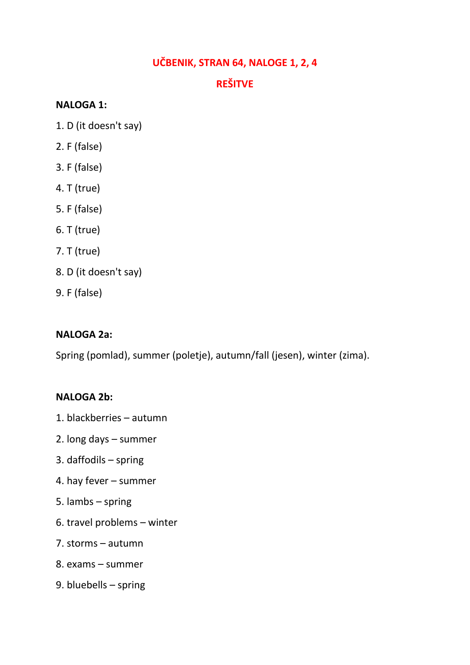### **UČBENIK, STRAN 64, NALOGE 1, 2, 4**

## **REŠITVE**

#### **NALOGA 1:**

- 1. D (it doesn't say)
- 2. F (false)
- 3. F (false)
- 4. T (true)
- 5. F (false)
- 6. T (true)
- 7. T (true)
- 8. D (it doesn't say)
- 9. F (false)

#### **NALOGA 2a:**

Spring (pomlad), summer (poletje), autumn/fall (jesen), winter (zima).

#### **NALOGA 2b:**

- 1. blackberries autumn
- 2. long days summer
- 3. daffodils spring
- 4. hay fever summer
- 5. lambs spring
- 6. travel problems winter
- 7. storms autumn
- 8. exams summer
- 9. bluebells spring